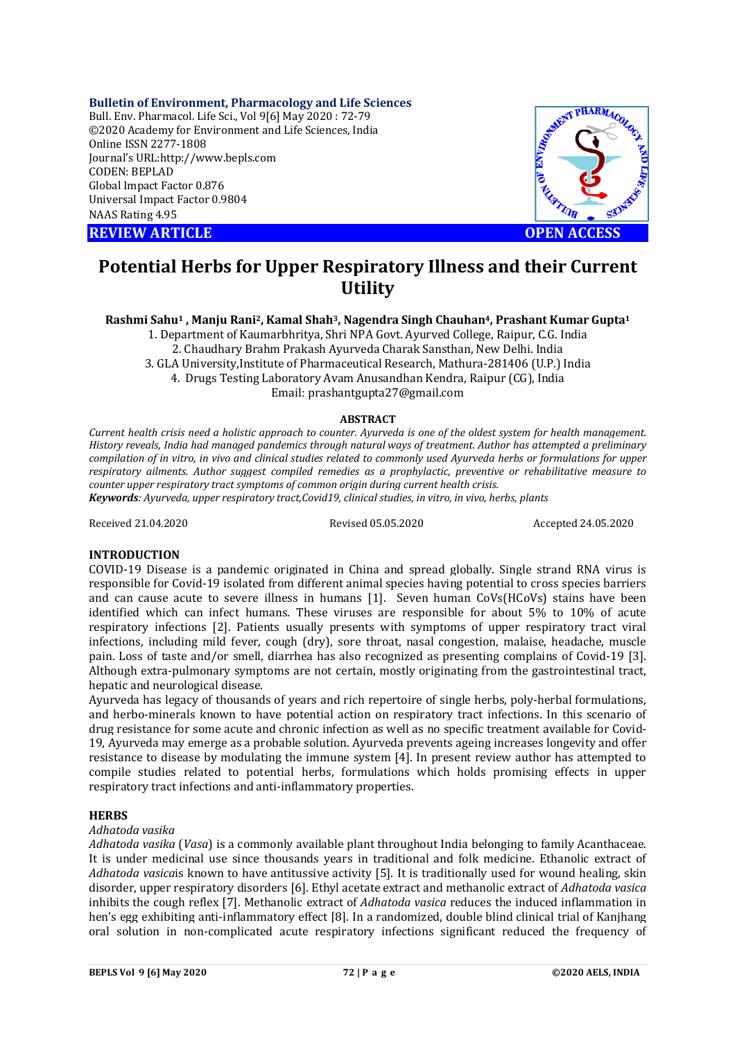## **Bulletin of Environment, Pharmacology and Life Sciences**

Bull. Env. Pharmacol. Life Sci., Vol 9[6] May 2020 : 72-79 ©2020 Academy for Environment and Life Sciences, India Online ISSN 2277-1808 Journal's URL:<http://www.bepls.com> CODEN: BEPLAD Global Impact Factor 0.876 Universal Impact Factor 0.9804 NAAS Rating 4.95

**REVIEW ARTICLE CONSUMING A REVIEW ARTICLE** 



# **Potential Herbs for Upper Respiratory Illness and their Current Utility**

## Rashmi Sahu<sup>1</sup>, Manju Rani<sup>2</sup>, Kamal Shah<sup>3</sup>, Nagendra Singh Chauhan<sup>4</sup>, Prashant Kumar Gupta<sup>1</sup>

1. Department of Kaumarbhritya, Shri NPA Govt. Ayurved College, Raipur, C.G. India 2. Chaudhary Brahm Prakash Ayurveda Charak Sansthan, New Delhi. India 3. GLA University,Institute of Pharmaceutical Research, Mathura-281406 (U.P.) India 4. Drugs Testing Laboratory Avam Anusandhan Kendra, Raipur (CG), India Email: [prashantgupta27@gmail.com](mailto:prashantgupta27@gmail.com)

## **ABSTRACT**

Current health crisis need a holistic approach to counter. Ayurveda is one of the oldest system for health management. History reveals, India had managed pandemics through natural ways of treatment. Author has attempted a preliminary compilation of in vitro, in vivo and clinical studies related to commonly used Avurveda herbs or formulations for upper *respiratory ailments. Author suggest compiled remedies as a prophylactic, preventive or rehabilitative measure to counter upper respiratory tract symptoms of common origin during current health crisis. Keywords: Ayurveda, upper respiratory tract,Covid19, clinical studies, in vitro, in vivo, herbs, plants*

Received 21.04.2020 Revised 05.05.2020 Accepted 24.05.2020

## **INTRODUCTION**

COVID-19 Disease is a pandemic originated in China and spread globally. Single strand RNA virus is responsible for Covid-19 isolated from different animal species having potential to cross species barriers and can cause acute to severe illness in humans [1]. Seven human CoVs(HCoVs) stains have been identified which can infect humans. These viruses are responsible for about 5% to 10% of acute respiratory infections [2]. Patients usually presents with symptoms of upper respiratory tract viral infections, including mild fever, cough (dry), sore throat, nasal congestion, malaise, headache, muscle pain. Loss of taste and/or smell, diarrhea has also recognized as presenting complains of Covid-19 [3]. Although extra-pulmonary symptoms are not certain, mostly originating from the gastrointestinal tract, hepatic and neurological disease.

Ayurveda has legacy of thousands of years and rich repertoire of single herbs, poly-herbal formulations, and herbo-minerals known to have potential action on respiratory tract infections. In this scenario of drug resistance for some acute and chronic infection as well as no specific treatment available for Covid-19, Ayurveda may emerge as a probable solution. Ayurveda prevents ageing increases longevity and offer resistance to disease by modulating the immune system [4]. In present review author has attempted to compile studies related to potential herbs, formulations which holds promising effects in upper respiratory tract infections and anti-inflammatory properties.

## **HERBS**

## *Adhatoda vasika*

*Adhatoda vasika* (*Vasa*) is a commonly available plant throughout India belonging to family Acanthaceae. It is under medicinal use since thousands years in traditional and folk medicine. Ethanolic extract of *Adhatoda vasica*is known to have antitussive activity [5]. It is traditionally used for wound healing, skin disorder, upper respiratory disorders [6]. Ethyl acetate extract and methanolic extract of *Adhatoda vasica* inhibits the cough reflex [7]. Methanolic extract of *Adhatoda vasica* reduces the induced inflammation in hen's egg exhibiting anti-inflammatory effect [8]. In a randomized, double blind clinical trial of Kanjhang oral solution in non-complicated acute respiratory infections significant reduced the frequency of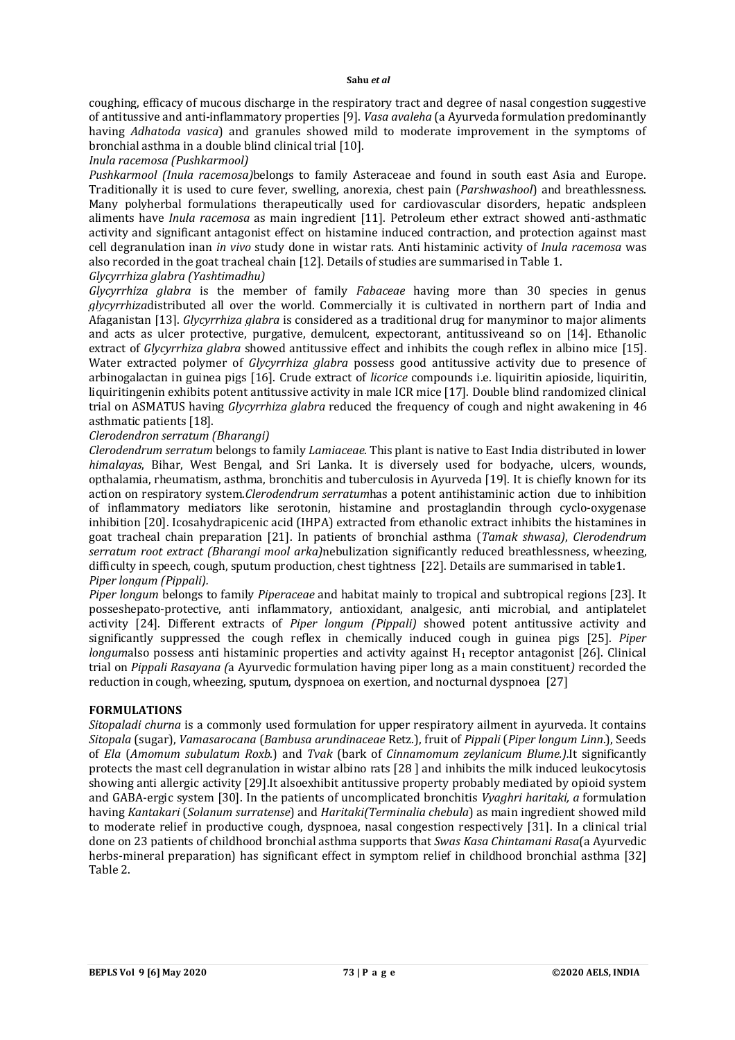coughing, efficacy of mucous discharge in the respiratory tract and degree of nasal congestion suggestive of antitussive and anti-inflammatory properties [9]. *Vasa avaleha* (a Ayurveda formulation predominantly having *Adhatoda vasica*) and granules showed mild to moderate improvement in the symptoms of bronchial asthma in a double blind clinical trial [10].

## *Inula racemosa (Pushkarmool)*

*Pushkarmool (Inula racemosa)*belongs to family Asteraceae and found in south east Asia and Europe. Traditionally it is used to cure fever, swelling, anorexia, chest pain (*Parshwashool*) and breathlessness. Many polyherbal formulations therapeutically used for cardiovascular disorders, hepatic andspleen aliments have *Inula racemosa* as main ingredient [11]. Petroleum ether extract showed anti-asthmatic activity and significant antagonist effect on histamine induced contraction, and protection against mast cell degranulation inan *in vivo* study done in wistar rats. Anti histaminic activity of *Inula racemosa* was also recorded in the goat tracheal chain [12]. Details of studies are summarised in Table 1.

## *Glycyrrhiza glabra (Yashtimadhu)*

*Glycyrrhiza glabra* is the member of family *Fabaceae* having more than 30 species in genus *glycyrrhiza*distributed all over the world. Commercially it is cultivated in northern part of India and Afaganistan [13]. *Glycyrrhiza glabra* is considered as a traditional drug for manyminor to major aliments and acts as ulcer protective, purgative, demulcent, expectorant, antitussiveand so on [14]. Ethanolic extract of *Glycyrrhiza glabra* showed antitussive effect and inhibits the cough reflex in albino mice [15]. Water extracted polymer of *Glycyrrhiza glabra* possess good antitussive activity due to presence of arbinogalactan in guinea pigs [16]. Crude extract of *licorice* compounds i.e. liquiritin apioside, liquiritin, liquiritingenin exhibits potent antitussive activity in male ICR mice [17]. Double blind randomized clinical trial on ASMATUS having *Glycyrrhiza glabra* reduced the frequency of cough and night awakening in 46 asthmatic patients [18].

## *Clerodendron serratum (Bharangi)*

*Clerodendrum serratum* belongs to family *Lamiaceae*. This plant is native to East India distributed in lower *himalayas*, Bihar, West Bengal, and Sri Lanka. It is diversely used for bodyache, ulcers, wounds, opthalamia, rheumatism, asthma, bronchitis and tuberculosis in Ayurveda [19]. It is chiefly known for its action on respiratory system.*Clerodendrum serratum*has a potent antihistaminic action due to inhibition of inflammatory mediators like serotonin, histamine and prostaglandin through cyclo-oxygenase inhibition [20]. Icosahydrapicenic acid (IHPA) extracted from ethanolic extract inhibits the histamines in goat tracheal chain preparation [21]. In patients of bronchial asthma (*Tamak shwasa)*, *Clerodendrum serratum root extract (Bharangi mool arka)*nebulization significantly reduced breathlessness, wheezing, difficulty in speech, cough, sputum production, chest tightness [22]. Details are summarised in table1. *Piper longum (Pippali).*

*Piper longum* belongs to family *Piperaceae* and habitat mainly to tropical and subtropical regions [23]. It posseshepato-protective, anti inflammatory, antioxidant, analgesic, anti microbial, and antiplatelet activity [24]. Different extracts of *Piper longum (Pippali)* showed potent antitussive activity and significantly suppressed the cough reflex in chemically induced cough in guinea pigs [25]. *Piper longumalso possess anti histaminic properties and activity against H<sub>1</sub> receptor antagonist [26]. Clinical* trial on *Pippali Rasayana (*a Ayurvedic formulation having piper long as a main constituent*)* recorded the reduction in cough, wheezing, sputum, dyspnoea on exertion, and nocturnal dyspnoea [27]

## **FORMULATIONS**

*Sitopaladi churna* is a commonly used formulation for upper respiratory ailment in ayurveda. It contains *Sitopala* (sugar), *Vamasarocana* (*Bambusa arundinaceae* Retz.), fruit of *Pippali* (*Piper longum Linn*.), Seeds of *Ela* (*Amomum subulatum Roxb*.) and *Tvak* (bark of *Cinnamomum zeylanicum Blume.).*It significantly protects the mast cell degranulation in wistar albino rats [28 ] and inhibits the milk induced leukocytosis showing anti allergic activity [29].It alsoexhibit antitussive property probably mediated by opioid system and GABA-ergic system [30]. In the patients of uncomplicated bronchitis *Vyaghri haritaki, a* formulation having *Kantakari* (*Solanum surratense*) and *Haritaki(Terminalia chebula*) as main ingredient showed mild to moderate relief in productive cough, dyspnoea, nasal congestion respectively [31]. In a clinical trial done on 23 patients of childhood bronchial asthma supports that *Swas Kasa Chintamani Rasa*(a Ayurvedic herbs-mineral preparation) has significant effect in symptom relief in childhood bronchial asthma [32] Table 2.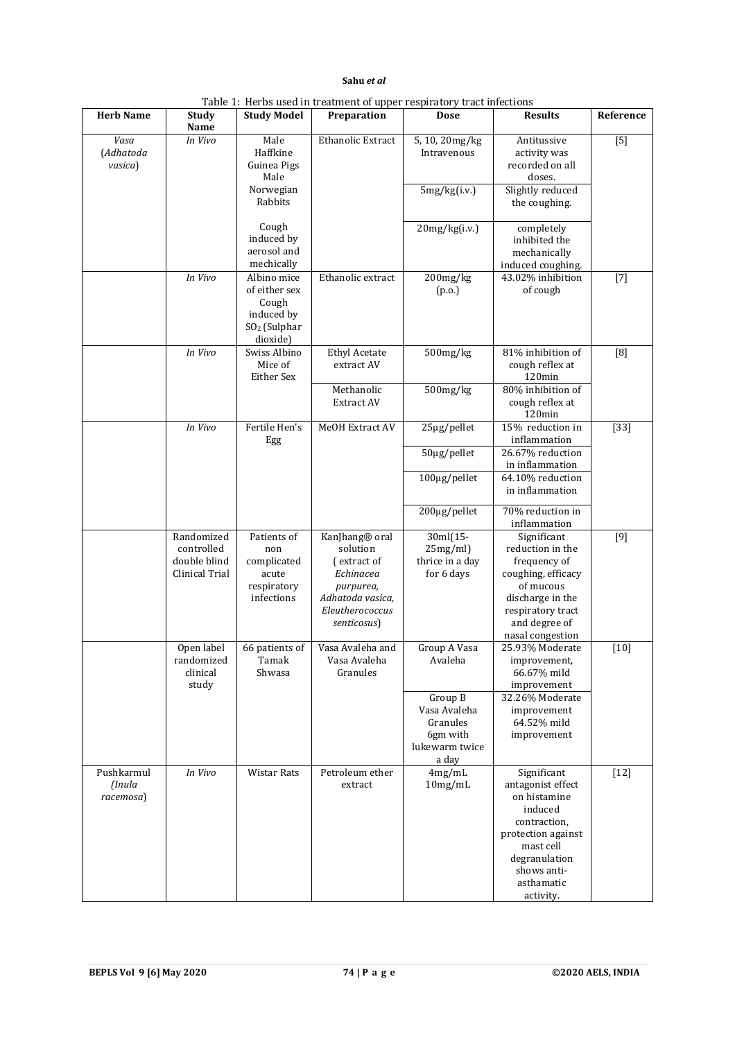|                                   |                                                            |                                                                                             | Table 1. Tickets ascultu a caunche of upper respiratory tract intertions                                                              |                                                                                              |                                                                                                                                                                           |                  |
|-----------------------------------|------------------------------------------------------------|---------------------------------------------------------------------------------------------|---------------------------------------------------------------------------------------------------------------------------------------|----------------------------------------------------------------------------------------------|---------------------------------------------------------------------------------------------------------------------------------------------------------------------------|------------------|
| <b>Herb Name</b>                  | Study<br>Name                                              | <b>Study Model</b>                                                                          | Preparation                                                                                                                           | Dose                                                                                         | <b>Results</b>                                                                                                                                                            | Reference        |
| Vasa<br>(Adhatoda<br>vasica)      | In Vivo                                                    | Male<br>Haffkine<br>Guinea Pigs<br>Male                                                     | Ethanolic Extract                                                                                                                     | 5, 10, 20mg/kg<br>Intravenous                                                                | Antitussive<br>activity was<br>recorded on all<br>doses.                                                                                                                  | $\overline{[5]}$ |
|                                   |                                                            | Norwegian<br>Rabbits                                                                        |                                                                                                                                       | 5mg/kg(i.v.)                                                                                 | Slightly reduced<br>the coughing.                                                                                                                                         |                  |
|                                   |                                                            | Cough<br>induced by<br>aerosol and<br>mechically                                            |                                                                                                                                       | 20mg/kg(i.v.)                                                                                | completely<br>inhibited the<br>mechanically<br>induced coughing.                                                                                                          |                  |
|                                   | In Vivo                                                    | Albino mice<br>of either sex<br>Cough<br>induced by<br>SO <sub>2</sub> (Sulphar<br>dioxide) | Ethanolic extract                                                                                                                     | 200mg/kg<br>(p.o.)                                                                           | 43.02% inhibition<br>of cough                                                                                                                                             | $[7]$            |
|                                   | In Vivo                                                    | Swiss Albino<br>Mice of<br>Either Sex                                                       | <b>Ethyl Acetate</b><br>extract AV<br>Methanolic                                                                                      | $500$ mg/kg<br>$500$ mg/ $kg$                                                                | 81% inhibition of<br>cough reflex at<br>120min<br>80% inhibition of                                                                                                       | [8]              |
|                                   | In Vivo                                                    | Fertile Hen's                                                                               | Extract AV<br>MeOH Extract AV                                                                                                         | 25µg/pellet                                                                                  | cough reflex at<br>120min<br>15% reduction in                                                                                                                             | $[33]$           |
|                                   |                                                            | Egg                                                                                         |                                                                                                                                       | $50\mu g/pellet$                                                                             | inflammation<br>26.67% reduction<br>in inflammation                                                                                                                       |                  |
|                                   |                                                            |                                                                                             |                                                                                                                                       | 100µg/pellet                                                                                 | 64.10% reduction<br>in inflammation                                                                                                                                       |                  |
|                                   |                                                            |                                                                                             |                                                                                                                                       | 200µg/pellet                                                                                 | 70% reduction in<br>inflammation                                                                                                                                          |                  |
|                                   | Randomized<br>controlled<br>double blind<br>Clinical Trial | Patients of<br>non<br>complicated<br>acute<br>respiratory<br>infections                     | KanJhang <sup>®</sup> oral<br>solution<br>(extract of<br>Echinacea<br>purpurea,<br>Adhatoda vasica,<br>Eleutherococcus<br>senticosus) | 30ml(15-<br>25mg/ml<br>thrice in a day<br>for 6 days                                         | Significant<br>reduction in the<br>frequency of<br>coughing, efficacy<br>of mucous<br>discharge in the<br>respiratory tract<br>and degree of<br>nasal congestion          | $[9]$            |
|                                   | Open label<br>randomized<br>clinical<br>study              | 66 patients of<br>Tamak<br>Shwasa                                                           | Vasa Avaleha and<br>Vasa Avaleha<br>Granules                                                                                          | Group A Vasa<br>Avaleha<br>Group B<br>Vasa Avaleha<br>Granules<br>6gm with<br>lukewarm twice | 25.93% Moderate<br>improvement,<br>66.67% mild<br>improvement<br>32.26% Moderate<br>improvement<br>64.52% mild<br>improvement                                             | $[10]$           |
| Pushkarmul<br>(Inula<br>racemosa) | In Vivo                                                    | Wistar Rats                                                                                 | Petroleum ether<br>extract                                                                                                            | a day<br>4mg/mL<br>10mg/mL                                                                   | Significant<br>antagonist effect<br>on histamine<br>induced<br>contraction,<br>protection against<br>mast cell<br>degranulation<br>shows anti-<br>asthamatic<br>activity. | $[12]$           |

| Table 1: Herbs used in treatment of upper respiratory tract infections |  |  |  |
|------------------------------------------------------------------------|--|--|--|
|------------------------------------------------------------------------|--|--|--|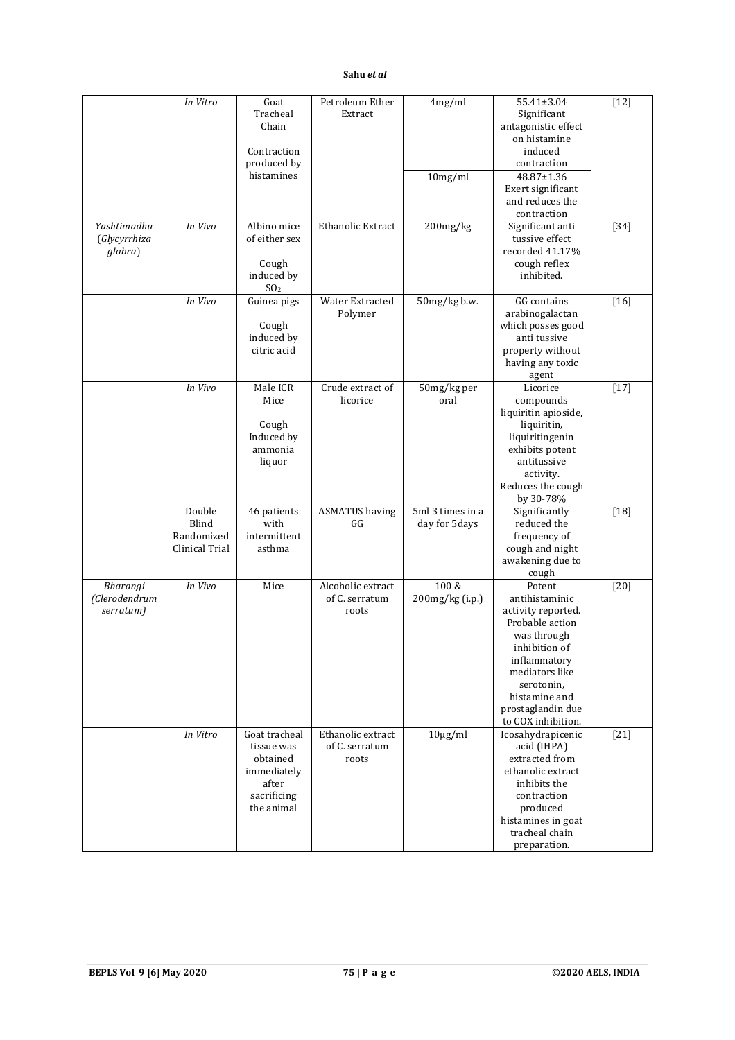|                                        | In Vitro                                        | Goat<br>Tracheal<br>Chain<br>Contraction<br>produced by<br>histamines                        | Petroleum Ether<br>Extract                   | 4mg/ml<br>10mg/ml                    | 55.41±3.04<br>Significant<br>antagonistic effect<br>on histamine<br>induced<br>contraction<br>48.87±1.36<br>Exert significant<br>and reduces the                                                              | $[12]$ |
|----------------------------------------|-------------------------------------------------|----------------------------------------------------------------------------------------------|----------------------------------------------|--------------------------------------|---------------------------------------------------------------------------------------------------------------------------------------------------------------------------------------------------------------|--------|
| Yashtimadhu<br>(Glycyrrhiza<br>glabra) | In Vivo                                         | Albino mice<br>of either sex<br>Cough<br>induced by<br>SO <sub>2</sub>                       | Ethanolic Extract                            | $200$ mg/kg                          | contraction<br>Significant anti<br>tussive effect<br>recorded 41.17%<br>cough reflex<br>inhibited.                                                                                                            | $[34]$ |
|                                        | In Vivo                                         | Guinea pigs<br>Cough<br>induced by<br>citric acid                                            | Water Extracted<br>Polymer                   | 50mg/kg b.w.                         | GG contains<br>arabinogalactan<br>which posses good<br>anti tussive<br>property without<br>having any toxic<br>agent                                                                                          | $[16]$ |
|                                        | In Vivo                                         | Male ICR<br>Mice<br>Cough<br>Induced by<br>ammonia<br>liquor                                 | Crude extract of<br>licorice                 | 50mg/kg per<br>oral                  | Licorice<br>compounds<br>liquiritin apioside,<br>liquiritin,<br>liquiritingenin<br>exhibits potent<br>antitussive<br>activity.<br>Reduces the cough<br>by 30-78%                                              | $[17]$ |
|                                        | Double<br>Blind<br>Randomized<br>Clinical Trial | 46 patients<br>with<br>intermittent<br>asthma                                                | <b>ASMATUS</b> having<br>GG                  | 5ml 3 times in a<br>day for 5 days   | Significantly<br>reduced the<br>frequency of<br>cough and night<br>awakening due to<br>cough                                                                                                                  | $[18]$ |
| Bharangi<br>(Clerodendrum<br>serratum) | In Vivo                                         | Mice                                                                                         | Alcoholic extract<br>of C. serratum<br>roots | $100\ \mathrm{g}$<br>200mg/kg (i.p.) | Potent<br>antihistaminic<br>activity reported.<br>Probable action<br>was through<br>inhibition of<br>inflammatory<br>mediators like<br>serotonin,<br>histamine and<br>prostaglandin due<br>to COX inhibition. | $[20]$ |
|                                        | In Vitro                                        | Goat tracheal<br>tissue was<br>obtained<br>immediately<br>after<br>sacrificing<br>the animal | Ethanolic extract<br>of C. serratum<br>roots | $10\mu\text{g/ml}$                   | Icosahydrapicenic<br>acid (IHPA)<br>extracted from<br>ethanolic extract<br>inhibits the<br>contraction<br>produced<br>histamines in goat<br>tracheal chain<br>preparation.                                    | $[21]$ |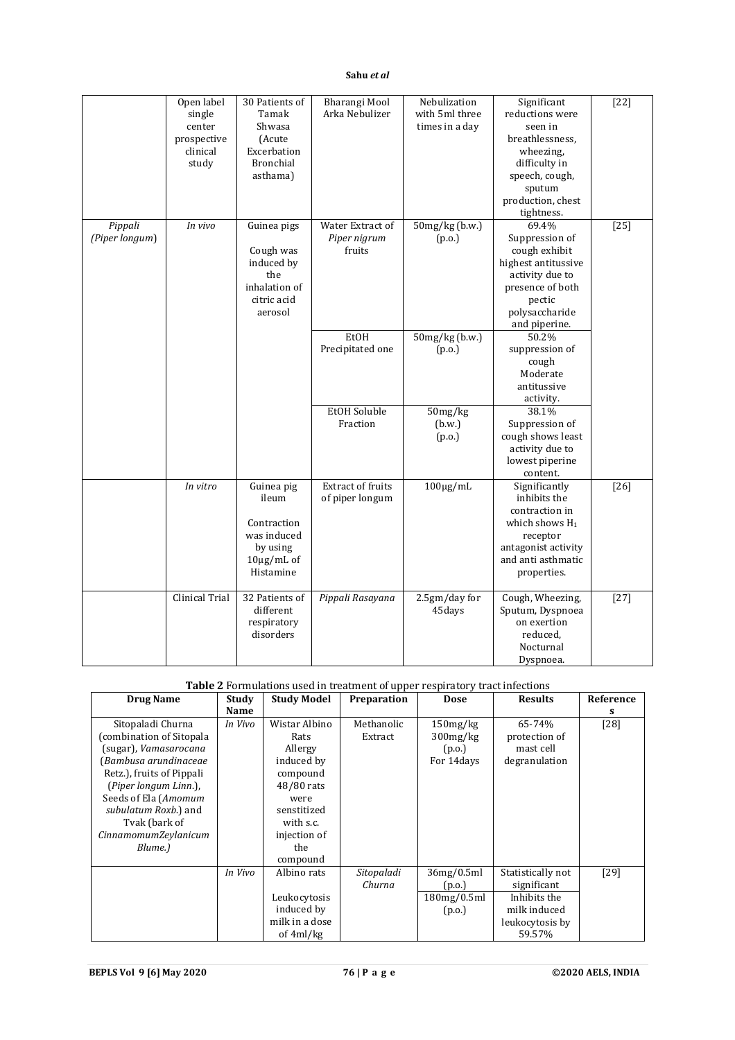|                           | Open label<br>single<br>center<br>prospective<br>clinical<br>study | 30 Patients of<br>Tamak<br>Shwasa<br>(Acute<br>Excerbation<br><b>Bronchial</b><br>asthama)    | Bharangi Mool<br>Arka Nebulizer             | Nebulization<br>with 5ml three<br>times in a day | Significant<br>reductions were<br>seen in<br>breathlessness.<br>wheezing,<br>difficulty in<br>speech, cough,<br>sputum<br>production, chest<br>tightness. | $[22]$ |
|---------------------------|--------------------------------------------------------------------|-----------------------------------------------------------------------------------------------|---------------------------------------------|--------------------------------------------------|-----------------------------------------------------------------------------------------------------------------------------------------------------------|--------|
| Pippali<br>(Piper longum) | In vivo                                                            | Guinea pigs<br>Cough was<br>induced by<br>the<br>inhalation of<br>citric acid<br>aerosol      | Water Extract of<br>Piper nigrum<br>fruits  | 50mg/kg (b.w.)<br>(p.o.)                         | 69.4%<br>Suppression of<br>cough exhibit<br>highest antitussive<br>activity due to<br>presence of both<br>pectic<br>polysaccharide<br>and piperine.       | $[25]$ |
|                           |                                                                    |                                                                                               | EtOH<br>Precipitated one<br>EtOH Soluble    | $50mg/kg$ (b.w.)<br>(p.o.)<br>50mg/kg            | 50.2%<br>suppression of<br>cough<br>Moderate<br>antitussive<br>activity.<br>38.1%                                                                         |        |
|                           |                                                                    |                                                                                               | Fraction                                    | (b.w.)<br>(p.o.)                                 | Suppression of<br>cough shows least<br>activity due to<br>lowest piperine<br>content.                                                                     |        |
|                           | In vitro                                                           | Guinea pig<br>ileum<br>Contraction<br>was induced<br>by using<br>$10\mu$ g/mL of<br>Histamine | <b>Extract of fruits</b><br>of piper longum | $100 \mu g/mL$                                   | Significantly<br>inhibits the<br>contraction in<br>which shows $H_1$<br>receptor<br>antagonist activity<br>and anti asthmatic<br>properties.              | $[26]$ |
|                           | Clinical Trial                                                     | 32 Patients of<br>different<br>respiratory<br>disorders                                       | Pippali Rasayana                            | 2.5gm/day for<br>45days                          | Cough, Wheezing,<br>Sputum, Dyspnoea<br>on exertion<br>reduced,<br>Nocturnal<br>Dyspnoea.                                                                 | $[27]$ |

# **Table 2** Formulations used in treatment of upper respiratory tract infections

| <b>Drug Name</b>            | Study   | <b>Study Model</b> | Preparation | <b>Dose</b>    | <b>Results</b>    | Reference |
|-----------------------------|---------|--------------------|-------------|----------------|-------------------|-----------|
|                             | Name    |                    |             |                |                   | s         |
| Sitopaladi Churna           | In Vivo | Wistar Albino      | Methanolic  | 150mg/kg       | 65-74%            | $[28]$    |
| (combination of Sitopala    |         | Rats               | Extract     | $300$ mg/ $kg$ | protection of     |           |
| (sugar), Vamasarocana       |         | Allergy            |             | (p.o.)         | mast cell         |           |
| (Bambusa arundinaceae       |         | induced by         |             | For 14 days    | degranulation     |           |
| Retz.), fruits of Pippali   |         | compound           |             |                |                   |           |
| (Piper longum Linn.),       |         | 48/80 rats         |             |                |                   |           |
| Seeds of Ela (Amomum        |         | were               |             |                |                   |           |
| subulatum Roxb.) and        |         | senstitized        |             |                |                   |           |
| Tvak (bark of               |         | with s.c.          |             |                |                   |           |
| <i>CinnamomumZeylanicum</i> |         | injection of       |             |                |                   |           |
| Blume.)                     |         | the                |             |                |                   |           |
|                             |         | compound           |             |                |                   |           |
|                             | In Vivo | Albino rats        | Sitopaladi  | 36mg/0.5ml     | Statistically not | [29]      |
|                             |         |                    | Churna      | (p.o.)         | significant       |           |
|                             |         | Leukocytosis       |             | 180mg/0.5ml    | Inhibits the      |           |
|                             |         | induced by         |             | (p.o.)         | milk induced      |           |
|                             |         | milk in a dose     |             |                | leukocytosis by   |           |
|                             |         | of 4ml/kg          |             |                | 59.57%            |           |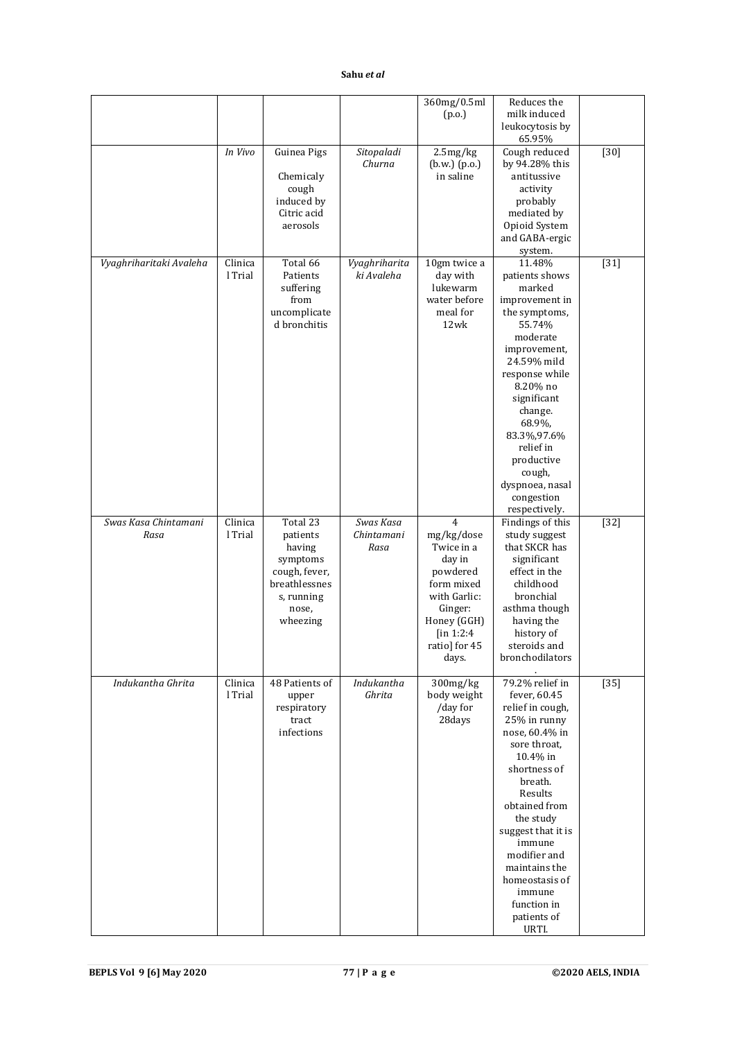|                              |                    |                                                                                                                 |                                 | 360mg/0.5ml<br>(p.o.)                                                                                                                              | Reduces the<br>milk induced<br>leukocytosis by<br>65.95%                                                                                                                                                                                                                                                                  |        |
|------------------------------|--------------------|-----------------------------------------------------------------------------------------------------------------|---------------------------------|----------------------------------------------------------------------------------------------------------------------------------------------------|---------------------------------------------------------------------------------------------------------------------------------------------------------------------------------------------------------------------------------------------------------------------------------------------------------------------------|--------|
|                              | In Vivo            | Guinea Pigs<br>Chemicaly<br>cough<br>induced by<br>Citric acid<br>aerosols                                      | Sitopaladi<br>Churna            | 2.5mg/kg<br>(b.w.) (p.o.)<br>in saline                                                                                                             | Cough reduced<br>by 94.28% this<br>antitussive<br>activity<br>probably<br>mediated by<br>Opioid System<br>and GABA-ergic<br>system.                                                                                                                                                                                       | $[30]$ |
| Vyaghriharitaki Avaleha      | Clinica<br>l Trial | Total 66<br>Patients<br>suffering<br>from<br>uncomplicate<br>d bronchitis                                       | Vyaghriharita<br>ki Avaleha     | 10gm twice a<br>day with<br>lukewarm<br>water before<br>meal for<br>12wk                                                                           | 11.48%<br>patients shows<br>marked<br>improvement in<br>the symptoms,<br>55.74%<br>moderate<br>improvement,<br>24.59% mild<br>response while<br>8.20% no<br>significant<br>change.<br>68.9%,<br>83.3%,97.6%<br>relief in<br>productive<br>cough,<br>dyspnoea, nasal<br>congestion<br>respectively.                        | $[31]$ |
| Swas Kasa Chintamani<br>Rasa | Clinica<br>l Trial | Total 23<br>patients<br>having<br>symptoms<br>cough, fever,<br>breathlessnes<br>s, running<br>nose,<br>wheezing | Swas Kasa<br>Chintamani<br>Rasa | 4<br>mg/kg/dose<br>Twice in a<br>day in<br>powdered<br>form mixed<br>with Garlic:<br>Ginger:<br>Honey (GGH)<br>[in 1:2:4<br>ratio] for 45<br>days. | Findings of this<br>study suggest<br>that SKCR has<br>significant<br>effect in the<br>childhood<br>bronchial<br>asthma though<br>having the<br>history of<br>steroids and<br>bronchodilators                                                                                                                              | $[32]$ |
| Indukantha Ghrita            | Clinica<br>l Trial | 48 Patients of<br>upper<br>respiratory<br>tract<br>infections                                                   | Indukantha<br>Ghrita            | 300mg/kg<br>body weight<br>/day for<br>28days                                                                                                      | 79.2% relief in<br>fever, 60.45<br>relief in cough,<br>25% in runny<br>nose, 60.4% in<br>sore throat,<br>10.4% in<br>shortness of<br>breath.<br>Results<br>obtained from<br>the study<br>suggest that it is<br>immune<br>modifier and<br>maintains the<br>homeostasis of<br>immune<br>function in<br>patients of<br>URTI. | $[35]$ |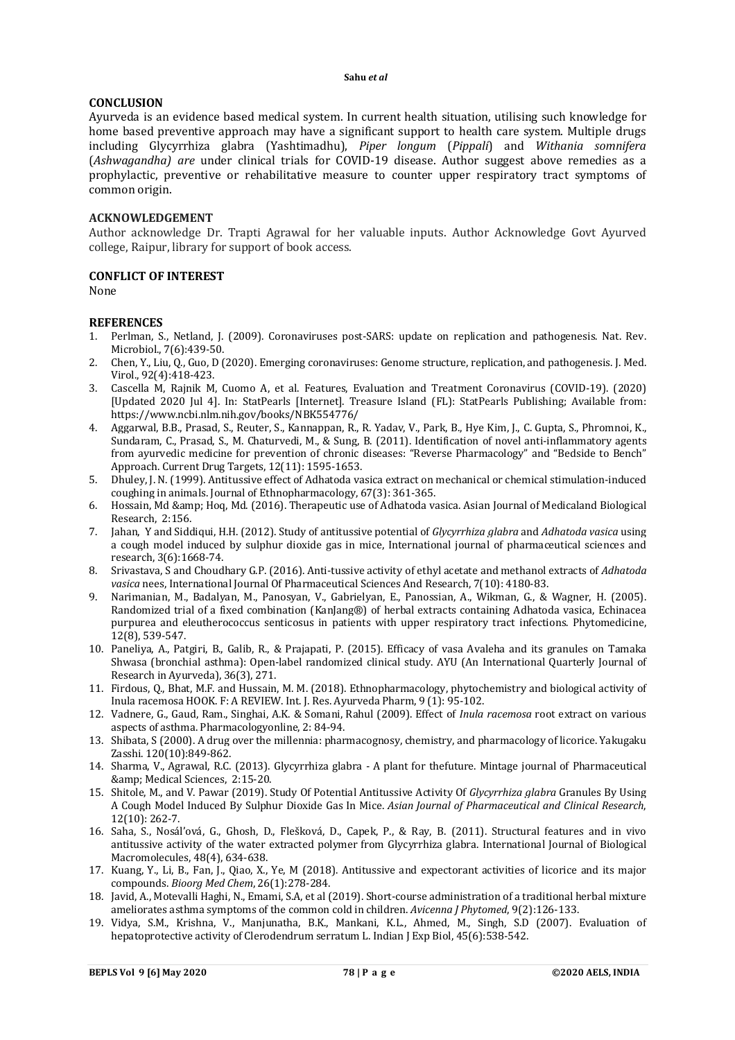## **CONCLUSION**

Ayurveda is an evidence based medical system. In current health situation, utilising such knowledge for home based preventive approach may have a significant support to health care system. Multiple drugs including Glycyrrhiza glabra (Yashtimadhu), *Piper longum* (*Pippali*) and *Withania somnifera* (*Ashwagandha) are* under clinical trials for COVID-19 disease. Author suggest above remedies as a prophylactic, preventive or rehabilitative measure to counter upper respiratory tract symptoms of common origin.

#### **ACKNOWLEDGEMENT**

Author acknowledge Dr. Trapti Agrawal for her valuable inputs. Author Acknowledge Govt Ayurved college, Raipur, library for support of book access.

#### **CONFLICT OF INTEREST**

None

#### **REFERENCES**

- 1. Perlman, S., Netland, J. (2009). Coronaviruses post-SARS: update on replication and pathogenesis. Nat. Rev. Microbiol., 7(6):439-50.
- 2. Chen, Y., Liu, Q., Guo, D (2020). Emerging coronaviruses: Genome structure, replication, and pathogenesis. J. Med. Virol., 92(4):418-423.
- 3. Cascella M, Rajnik M, Cuomo A, et al. Features, Evaluation and Treatment Coronavirus (COVID-19). (2020) [Updated 2020 Jul 4]. In: StatPearls [Internet]. Treasure Island (FL): StatPearls Publishing; Available from: <https://www.ncbi.nlm.nih.gov/books/NBK554776/>
- 4. Aggarwal, B.B., Prasad, S., Reuter, S., Kannappan, R., R. Yadav, V., Park, B., Hye Kim, J., C. Gupta, S., Phromnoi, K., Sundaram, C., Prasad, S., M. Chaturvedi, M., & Sung, B. (2011). Identification of novel anti-inflammatory agents from ayurvedic medicine for prevention of chronic diseases: "Reverse Pharmacology" and "Bedside to Bench" Approach. Current Drug Targets, 12(11): 1595-1653.
- 5. Dhuley, J. N. (1999). Antitussive effect of Adhatoda vasica extract on mechanical or chemical stimulation-induced coughing in animals. Journal of Ethnopharmacology, 67(3): 361-365.
- 6. Hossain, Md & amp; Hoq, Md. (2016). Therapeutic use of Adhatoda vasica. Asian Journal of Medicaland Biological Research, 2:156.
- 7. Jahan, Y and Siddiqui, H.H. (2012). Study of antitussive potential of *Glycyrrhiza glabra* and *Adhatoda vasica* using a cough model induced by sulphur dioxide gas in mice, International journal of pharmaceutical sciences and research, 3(6):1668-74.
- 8. Srivastava, S and Choudhary G.P. (2016). Anti-tussive activity of ethyl acetate and methanol extracts of *Adhatoda vasica* nees, International Journal Of Pharmaceutical Sciences And Research, 7(10): 4180-83.
- 9. Narimanian, M., Badalyan, M., Panosyan, V., Gabrielyan, E., Panossian, A., Wikman, G., & Wagner, H. (2005). Randomized trial of a fixed combination (KanJang®) of herbal extracts containing Adhatoda vasica, Echinacea purpurea and eleutherococcus senticosus in patients with upper respiratory tract infections. Phytomedicine, 12(8), 539-547.
- 10. Paneliya, A., Patgiri, B., Galib, R., & Prajapati, P. (2015). Efficacy of vasa Avaleha and its granules on Tamaka Shwasa (bronchial asthma): Open-label randomized clinical study. AYU (An International Quarterly Journal of Research in Ayurveda), 36(3), 271.
- 11. Firdous, Q., Bhat, M.F. and Hussain, M. M. (2018). Ethnopharmacology, phytochemistry and biological activity of Inula racemosa HOOK. F: A REVIEW. Int. J. Res. Ayurveda Pharm, 9 (1): 95-102.
- 12. Vadnere, G., Gaud, Ram., Singhai, A.K. & Somani, Rahul (2009). Effect of *Inula racemosa* root extract on various aspects of asthma. Pharmacologyonline, 2: 84-94.
- 13. Shibata, S (2000). A drug over the millennia: pharmacognosy, chemistry, and pharmacology of licorice. Yakugaku Zasshi. 120(10):849-862.
- 14. Sharma, V., Agrawal, R.C. (2013). Glycyrrhiza glabra A plant for thefuture. Mintage journal of Pharmaceutical & amp; Medical Sciences, 2:15-20.
- 15. Shitole, M., and V. Pawar (2019). Study Of Potential Antitussive Activity Of *Glycyrrhiza glabra* Granules By Using A Cough Model Induced By Sulphur Dioxide Gas In Mice. *Asian Journal of Pharmaceutical and Clinical Research*, 12(10): 262-7.
- 16. Saha, S., Nosál'ová, G., Ghosh, D., Flešková, D., Capek, P., & Ray, B. (2011). Structural features and in vivo antitussive activity of the water extracted polymer from Glycyrrhiza glabra. International Journal of Biological Macromolecules, 48(4), 634-638.
- 17. Kuang, Y., Li, B., Fan, J., Qiao, X., Ye, M (2018). Antitussive and expectorant activities of licorice and its major compounds. *Bioorg Med Chem*, 26(1):278-284.
- 18. Javid, A., Motevalli Haghi, N., Emami, S.A, et al (2019). Short-course administration of a traditional herbal mixture ameliorates asthma symptoms of the common cold in children. *Avicenna J Phytomed*, 9(2):126-133.
- 19. Vidya, S.M., Krishna, V., Manjunatha, B.K., Mankani, K.L., Ahmed, M., Singh, S.D (2007). Evaluation of hepatoprotective activity of Clerodendrum serratum L. Indian J Exp Biol, 45(6):538-542.